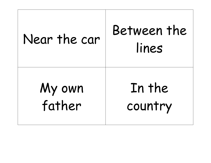| Near the car | Between the<br>lines |
|--------------|----------------------|
| My own       | In the               |
| father       | country              |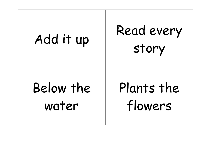| Add it up | Read every<br>story |
|-----------|---------------------|
| Below the | Plants the          |
| water     | flowers             |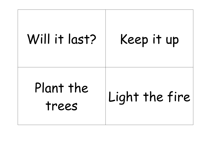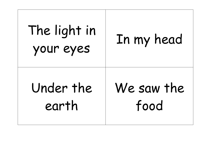| The light in<br>your eyes | In my head |
|---------------------------|------------|
| Under the                 | We saw the |
| earth                     | food       |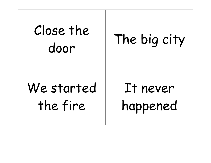| Close the<br>door | The big city |
|-------------------|--------------|
| We started        | It never     |
| the fire          | happened     |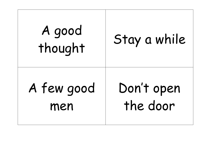| A good<br>thought | Stay a while |
|-------------------|--------------|
| A few good        | Don't open   |
| men               | the door     |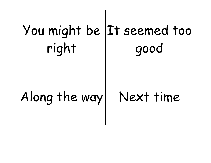| right         | You might be It seemed too<br>good |
|---------------|------------------------------------|
| Along the way | Next time                          |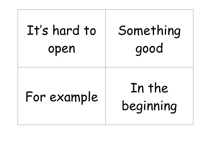| It's hard to | Something           |
|--------------|---------------------|
| open         | good                |
| For example  | In the<br>beginning |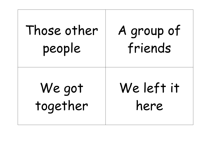| Those other | A group of |
|-------------|------------|
| people      | friends    |
| We got      | We left it |
| together    | here       |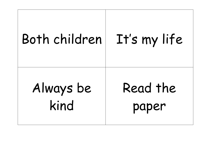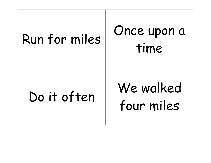| Run for miles | Once upon a<br>time     |
|---------------|-------------------------|
| Do it often   | We walked<br>four miles |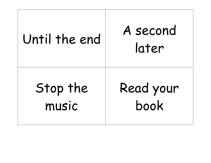| Until the end | A second<br>later |
|---------------|-------------------|
| Stop the      | Read your         |
| music         | book              |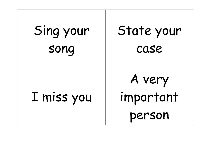| Sing your  | State your                    |
|------------|-------------------------------|
| song       | case                          |
| I miss you | A very<br>important<br>person |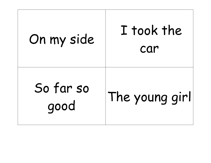| On my side        | I took the<br>car |
|-------------------|-------------------|
| So far so<br>good | The young girl    |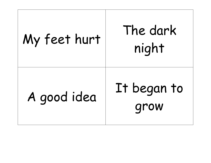## My feet hurt The dark<br>night A good idea It began to grow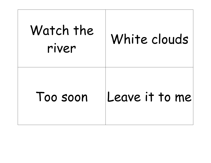| Watch the<br>river | White clouds   |
|--------------------|----------------|
| Too soon           | Leave it to me |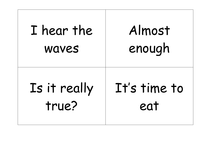| I hear the   | Almost       |
|--------------|--------------|
| <b>WAVES</b> | enough       |
| Is it really | It's time to |
| true?        | eat          |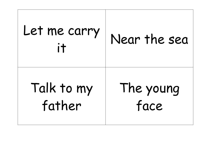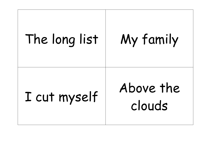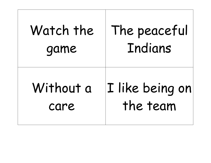| Watch the | The peaceful    |
|-----------|-----------------|
| game      | Indians         |
| Without a | I like being on |
| care      | the team        |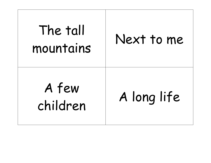| The tall<br>mountains | Next to me  |
|-----------------------|-------------|
| A few<br>children     | A long life |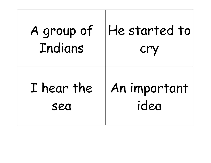| A group of | He started to |
|------------|---------------|
| Indians    | cry           |
| I hear the | An important  |
| sea        | idea          |